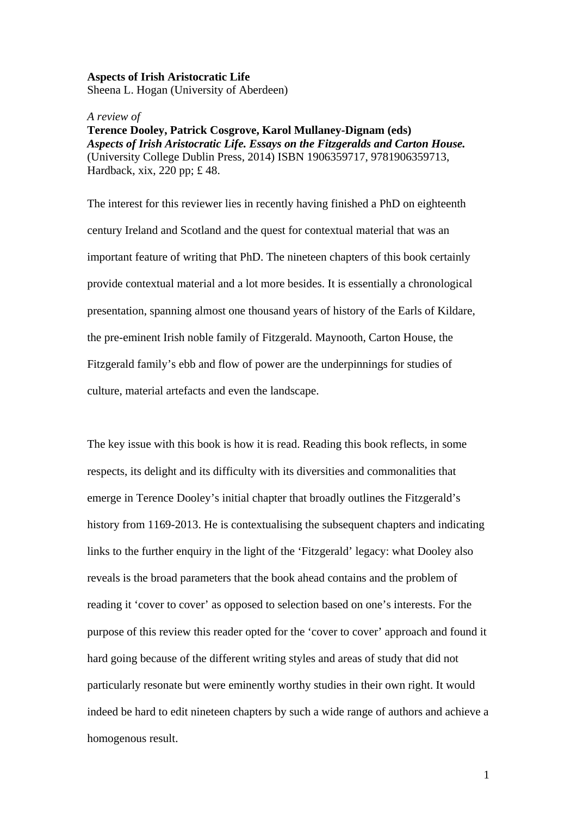## **Aspects of Irish Aristocratic Life**

Sheena L. Hogan (University of Aberdeen)

## *A review of*

**Terence Dooley, Patrick Cosgrove, Karol Mullaney-Dignam (eds)**  *Aspects of Irish Aristocratic Life. Essays on the Fitzgeralds and Carton House.* (University College Dublin Press, 2014) ISBN 1906359717, 9781906359713, Hardback, xix, 220 pp; £ 48.

The interest for this reviewer lies in recently having finished a PhD on eighteenth century Ireland and Scotland and the quest for contextual material that was an important feature of writing that PhD. The nineteen chapters of this book certainly provide contextual material and a lot more besides. It is essentially a chronological presentation, spanning almost one thousand years of history of the Earls of Kildare, the pre-eminent Irish noble family of Fitzgerald. Maynooth, Carton House, the Fitzgerald family's ebb and flow of power are the underpinnings for studies of culture, material artefacts and even the landscape.

The key issue with this book is how it is read. Reading this book reflects, in some respects, its delight and its difficulty with its diversities and commonalities that emerge in Terence Dooley's initial chapter that broadly outlines the Fitzgerald's history from 1169-2013. He is contextualising the subsequent chapters and indicating links to the further enquiry in the light of the 'Fitzgerald' legacy: what Dooley also reveals is the broad parameters that the book ahead contains and the problem of reading it 'cover to cover' as opposed to selection based on one's interests. For the purpose of this review this reader opted for the 'cover to cover' approach and found it hard going because of the different writing styles and areas of study that did not particularly resonate but were eminently worthy studies in their own right. It would indeed be hard to edit nineteen chapters by such a wide range of authors and achieve a homogenous result.

1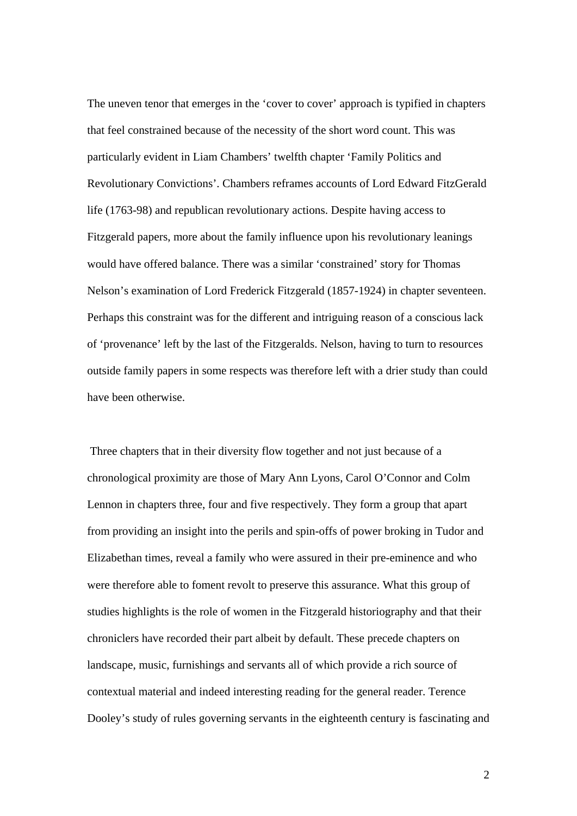The uneven tenor that emerges in the 'cover to cover' approach is typified in chapters that feel constrained because of the necessity of the short word count. This was particularly evident in Liam Chambers' twelfth chapter 'Family Politics and Revolutionary Convictions'. Chambers reframes accounts of Lord Edward FitzGerald life (1763-98) and republican revolutionary actions. Despite having access to Fitzgerald papers, more about the family influence upon his revolutionary leanings would have offered balance. There was a similar 'constrained' story for Thomas Nelson's examination of Lord Frederick Fitzgerald (1857-1924) in chapter seventeen. Perhaps this constraint was for the different and intriguing reason of a conscious lack of 'provenance' left by the last of the Fitzgeralds. Nelson, having to turn to resources outside family papers in some respects was therefore left with a drier study than could have been otherwise.

 Three chapters that in their diversity flow together and not just because of a chronological proximity are those of Mary Ann Lyons, Carol O'Connor and Colm Lennon in chapters three, four and five respectively. They form a group that apart from providing an insight into the perils and spin-offs of power broking in Tudor and Elizabethan times, reveal a family who were assured in their pre-eminence and who were therefore able to foment revolt to preserve this assurance. What this group of studies highlights is the role of women in the Fitzgerald historiography and that their chroniclers have recorded their part albeit by default. These precede chapters on landscape, music, furnishings and servants all of which provide a rich source of contextual material and indeed interesting reading for the general reader. Terence Dooley's study of rules governing servants in the eighteenth century is fascinating and

2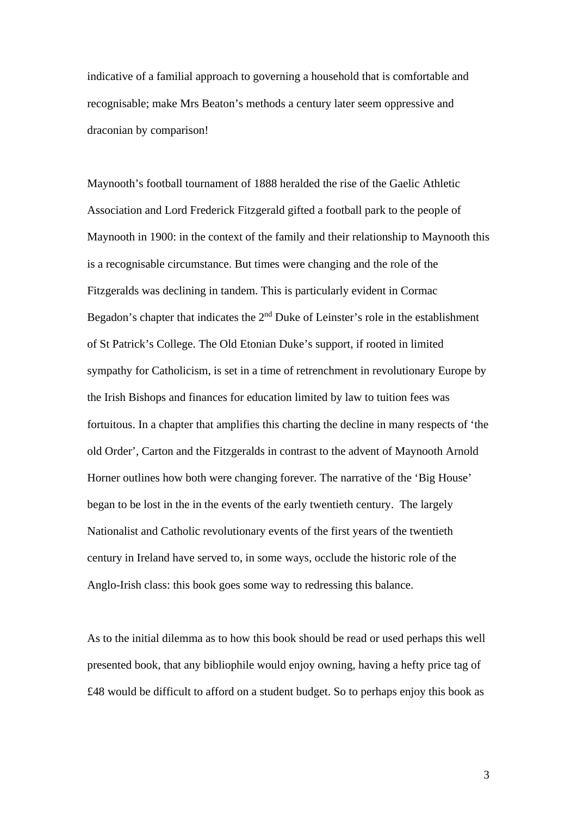indicative of a familial approach to governing a household that is comfortable and recognisable; make Mrs Beaton's methods a century later seem oppressive and draconian by comparison!

Maynooth's football tournament of 1888 heralded the rise of the Gaelic Athletic Association and Lord Frederick Fitzgerald gifted a football park to the people of Maynooth in 1900: in the context of the family and their relationship to Maynooth this is a recognisable circumstance. But times were changing and the role of the Fitzgeralds was declining in tandem. This is particularly evident in Cormac Begadon's chapter that indicates the 2<sup>nd</sup> Duke of Leinster's role in the establishment of St Patrick's College. The Old Etonian Duke's support, if rooted in limited sympathy for Catholicism, is set in a time of retrenchment in revolutionary Europe by the Irish Bishops and finances for education limited by law to tuition fees was fortuitous. In a chapter that amplifies this charting the decline in many respects of 'the old Order', Carton and the Fitzgeralds in contrast to the advent of Maynooth Arnold Horner outlines how both were changing forever. The narrative of the 'Big House' began to be lost in the in the events of the early twentieth century. The largely Nationalist and Catholic revolutionary events of the first years of the twentieth century in Ireland have served to, in some ways, occlude the historic role of the Anglo-Irish class: this book goes some way to redressing this balance.

As to the initial dilemma as to how this book should be read or used perhaps this well presented book, that any bibliophile would enjoy owning, having a hefty price tag of £48 would be difficult to afford on a student budget. So to perhaps enjoy this book as

3